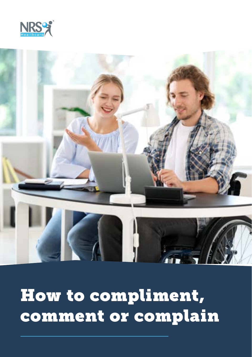



# How to compliment, comment or complain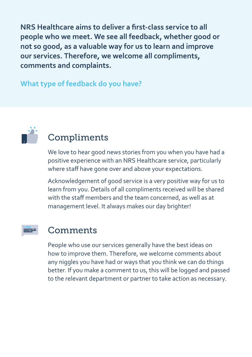**NRS Healthcare aims to deliver a first-class service to all people who we meet. We see all feedback, whether good or not so good, as a valuable way for us to learn and improve our services. Therefore, we welcome all compliments, comments and complaints.**

#### **What type of feedback do you have?**



## Compliments

We love to hear good news stories from you when you have had a positive experience with an NRS Healthcare service, particularly where staff have gone over and above your expectations.

Acknowledgement of good service is a very positive way for us to learn from you. Details of all compliments received will be shared with the staff members and the team concerned, as well as at management level. It always makes our day brighter!

### Comments

People who use our services generally have the best ideas on how to improve them. Therefore, we welcome comments about any niggles you have had or ways that you think we can do things better. If you make a comment to us, this will be logged and passed to the relevant department or partner to take action as necessary.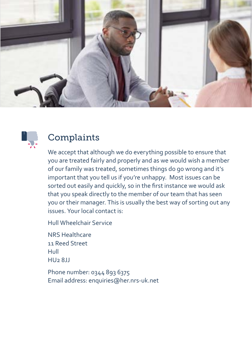



## **Complaints**

We accept that although we do everything possible to ensure that you are treated fairly and properly and as we would wish a member of our family was treated, sometimes things do go wrong and it's important that you tell us if you're unhappy. Most issues can be sorted out easily and quickly, so in the first instance we would ask that you speak directly to the member of our team that has seen you or their manager. This is usually the best way of sorting out any issues. Your local contact is:

Hull Wheelchair Service

NRS Healthcare 11 Reed Street Hull HU2 8JJ

Phone number: 0344 893 6375 Email address: enquiries@her.nrs-uk.net